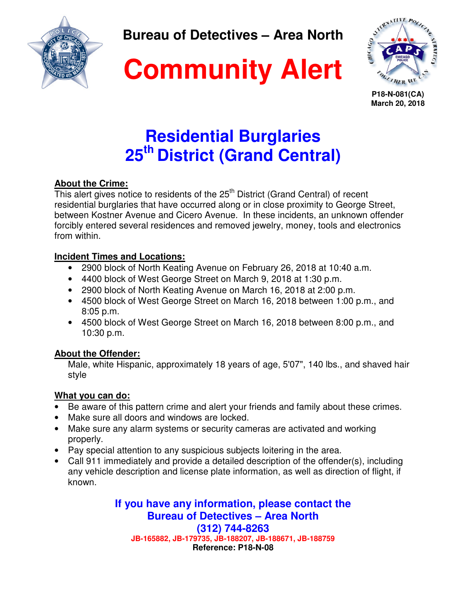

**Bureau of Detectives – Area North** 





**P18-N-081(CA) March 20, 2018**

# **Residential Burglaries 25th District (Grand Central)**

### **About the Crime:**

This alert gives notice to residents of the 25<sup>th</sup> District (Grand Central) of recent residential burglaries that have occurred along or in close proximity to George Street, between Kostner Avenue and Cicero Avenue. In these incidents, an unknown offender forcibly entered several residences and removed jewelry, money, tools and electronics from within.

#### **Incident Times and Locations:**

- 2900 block of North Keating Avenue on February 26, 2018 at 10:40 a.m.
- 4400 block of West George Street on March 9, 2018 at 1:30 p.m.
- 2900 block of North Keating Avenue on March 16, 2018 at 2:00 p.m.
- 4500 block of West George Street on March 16, 2018 between 1:00 p.m., and 8:05 p.m.
- 4500 block of West George Street on March 16, 2018 between 8:00 p.m., and 10:30 p.m.

#### **About the Offender:**

Male, white Hispanic, approximately 18 years of age, 5'07", 140 lbs., and shaved hair style

### **What you can do:**

- Be aware of this pattern crime and alert your friends and family about these crimes.
- Make sure all doors and windows are locked.
- Make sure any alarm systems or security cameras are activated and working properly.
- Pay special attention to any suspicious subjects loitering in the area.
- Call 911 immediately and provide a detailed description of the offender(s), including any vehicle description and license plate information, as well as direction of flight, if known.

**If you have any information, please contact the Bureau of Detectives – Area North (312) 744-8263 JB-165882, JB-179735, JB-188207, JB-188671, JB-188759 Reference: P18-N-08**